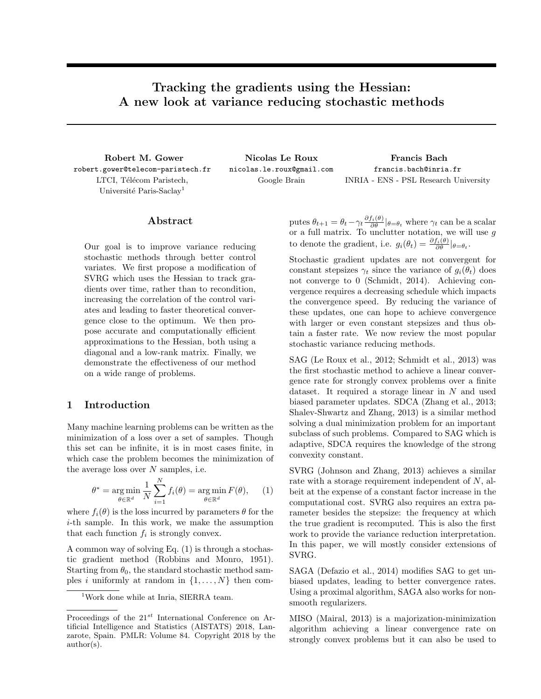# Tracking the gradients using the Hessian: A new look at variance reducing stochastic methods

Robert M. Gower robert.gower@telecom-paristech.fr LTCI, Télécom Paristech, Université Paris-Saclay<sup>1</sup>

Nicolas Le Roux nicolas.le.roux@gmail.com Google Brain INRIA - ENS - PSL Research University

Francis Bach francis.bach@inria.fr

# Abstract

Our goal is to improve variance reducing stochastic methods through better control variates. We first propose a modification of SVRG which uses the Hessian to track gradients over time, rather than to recondition, increasing the correlation of the control variates and leading to faster theoretical convergence close to the optimum. We then propose accurate and computationally efficient approximations to the Hessian, both using a diagonal and a low-rank matrix. Finally, we demonstrate the effectiveness of our method on a wide range of problems.

# 1 Introduction

Many machine learning problems can be written as the minimization of a loss over a set of samples. Though this set can be infinite, it is in most cases finite, in which case the problem becomes the minimization of the average loss over  $N$  samples, i.e.

$$
\theta^* = \underset{\theta \in \mathbb{R}^d}{\arg \min} \frac{1}{N} \sum_{i=1}^N f_i(\theta) = \underset{\theta \in \mathbb{R}^d}{\arg \min} F(\theta), \quad (1)
$$

where  $f_i(\theta)$  is the loss incurred by parameters  $\theta$  for the i-th sample. In this work, we make the assumption that each function  $f_i$  is strongly convex.

A common way of solving Eq. (1) is through a stochastic gradient method (Robbins and Monro, 1951). Starting from  $\theta_0$ , the standard stochastic method samples i uniformly at random in  $\{1, \ldots, N\}$  then computes  $\theta_{t+1} = \theta_t - \gamma_t \frac{\partial f_i(\theta)}{\partial \theta} |_{\theta = \theta_t}$  where  $\gamma_t$  can be a scalar or a full matrix. To unclutter notation, we will use g to denote the gradient, i.e.  $g_i(\theta_t) = \frac{\partial f_i(\theta)}{\partial \theta} |_{\theta = \theta_t}$ .

Stochastic gradient updates are not convergent for constant stepsizes  $\gamma_t$  since the variance of  $g_i(\theta_t)$  does not converge to 0 (Schmidt, 2014). Achieving convergence requires a decreasing schedule which impacts the convergence speed. By reducing the variance of these updates, one can hope to achieve convergence with larger or even constant stepsizes and thus obtain a faster rate. We now review the most popular stochastic variance reducing methods.

SAG (Le Roux et al., 2012; Schmidt et al., 2013) was the first stochastic method to achieve a linear convergence rate for strongly convex problems over a finite dataset. It required a storage linear in  $N$  and used biased parameter updates. SDCA (Zhang et al., 2013; Shalev-Shwartz and Zhang, 2013) is a similar method solving a dual minimization problem for an important subclass of such problems. Compared to SAG which is adaptive, SDCA requires the knowledge of the strong convexity constant.

SVRG (Johnson and Zhang, 2013) achieves a similar rate with a storage requirement independent of  $N$ , albeit at the expense of a constant factor increase in the computational cost. SVRG also requires an extra parameter besides the stepsize: the frequency at which the true gradient is recomputed. This is also the first work to provide the variance reduction interpretation. In this paper, we will mostly consider extensions of SVRG.

SAGA (Defazio et al., 2014) modifies SAG to get unbiased updates, leading to better convergence rates. Using a proximal algorithm, SAGA also works for nonsmooth regularizers.

MISO (Mairal, 2013) is a majorization-minimization algorithm achieving a linear convergence rate on strongly convex problems but it can also be used to

<sup>&</sup>lt;sup>1</sup>Work done while at Inria, SIERRA team.

Proceedings of the  $21^{st}$  International Conference on Artificial Intelligence and Statistics (AISTATS) 2018, Lanzarote, Spain. PMLR: Volume 84. Copyright 2018 by the author(s).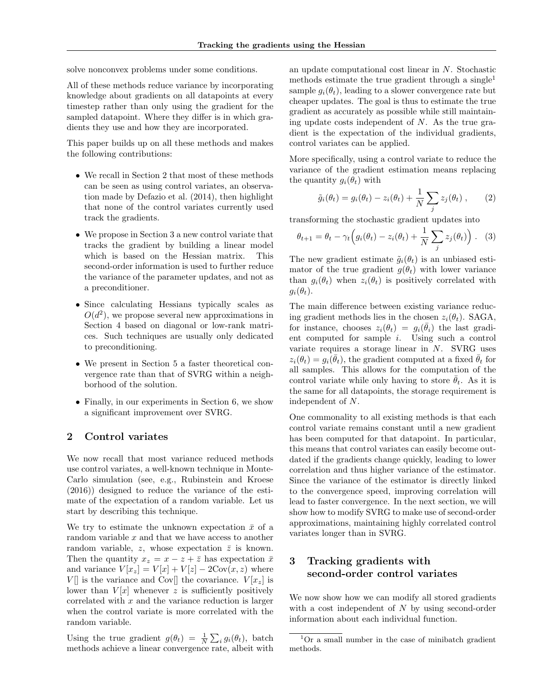solve nonconvex problems under some conditions.

All of these methods reduce variance by incorporating knowledge about gradients on all datapoints at every timestep rather than only using the gradient for the sampled datapoint. Where they differ is in which gradients they use and how they are incorporated.

This paper builds up on all these methods and makes the following contributions:

- We recall in Section 2 that most of these methods can be seen as using control variates, an observation made by Defazio et al. (2014), then highlight that none of the control variates currently used track the gradients.
- We propose in Section 3 a new control variate that tracks the gradient by building a linear model which is based on the Hessian matrix. This second-order information is used to further reduce the variance of the parameter updates, and not as a preconditioner.
- Since calculating Hessians typically scales as  $O(d^2)$ , we propose several new approximations in Section 4 based on diagonal or low-rank matrices. Such techniques are usually only dedicated to preconditioning.
- We present in Section 5 a faster theoretical convergence rate than that of SVRG within a neighborhood of the solution.
- Finally, in our experiments in Section 6, we show a significant improvement over SVRG.

#### 2 Control variates

We now recall that most variance reduced methods use control variates, a well-known technique in Monte-Carlo simulation (see, e.g., Rubinstein and Kroese (2016)) designed to reduce the variance of the estimate of the expectation of a random variable. Let us start by describing this technique.

We try to estimate the unknown expectation  $\bar{x}$  of a random variable  $x$  and that we have access to another random variable, z, whose expectation  $\bar{z}$  is known. Then the quantity  $x_z = x - z + \overline{z}$  has expectation  $\overline{x}$ and variance  $V[x_z] = V[x] + V[z] - 2\text{Cov}(x, z)$  where  $V[\]$  is the variance and Cov $[\]$  the covariance.  $V[x_z]$  is lower than  $V[x]$  whenever z is sufficiently positively correlated with  $x$  and the variance reduction is larger when the control variate is more correlated with the random variable.

Using the true gradient  $g(\theta_t) = \frac{1}{N} \sum_i g_i(\theta_t)$ , batch methods achieve a linear convergence rate, albeit with an update computational cost linear in N. Stochastic methods estimate the true gradient through a single<sup>1</sup> sample  $q_i(\theta_t)$ , leading to a slower convergence rate but cheaper updates. The goal is thus to estimate the true gradient as accurately as possible while still maintaining update costs independent of  $N$ . As the true gradient is the expectation of the individual gradients, control variates can be applied.

More specifically, using a control variate to reduce the variance of the gradient estimation means replacing the quantity  $g_i(\theta_t)$  with

$$
\tilde{g}_i(\theta_t) = g_i(\theta_t) - z_i(\theta_t) + \frac{1}{N} \sum_j z_j(\theta_t) , \qquad (2)
$$

transforming the stochastic gradient updates into

$$
\theta_{t+1} = \theta_t - \gamma_t \Big( g_i(\theta_t) - z_i(\theta_t) + \frac{1}{N} \sum_j z_j(\theta_t) \Big) . \tag{3}
$$

The new gradient estimate  $\tilde{g}_i(\theta_t)$  is an unbiased estimator of the true gradient  $g(\theta_t)$  with lower variance than  $g_i(\theta_t)$  when  $z_i(\theta_t)$  is positively correlated with  $g_i(\theta_t)$ .

The main difference between existing variance reducing gradient methods lies in the chosen  $z_i(\theta_t)$ . SAGA, for instance, chooses  $z_i(\theta_t) = g_i(\bar{\theta}_i)$  the last gradient computed for sample i. Using such a control variate requires a storage linear in N. SVRG uses  $z_i(\theta_t) = g_i(\bar{\theta}_t)$ , the gradient computed at a fixed  $\bar{\theta}_t$  for all samples. This allows for the computation of the control variate while only having to store  $\bar{\theta}_t$ . As it is the same for all datapoints, the storage requirement is independent of N.

One commonality to all existing methods is that each control variate remains constant until a new gradient has been computed for that datapoint. In particular, this means that control variates can easily become outdated if the gradients change quickly, leading to lower correlation and thus higher variance of the estimator. Since the variance of the estimator is directly linked to the convergence speed, improving correlation will lead to faster convergence. In the next section, we will show how to modify SVRG to make use of second-order approximations, maintaining highly correlated control variates longer than in SVRG.

# 3 Tracking gradients with second-order control variates

We now show how we can modify all stored gradients with a cost independent of  $N$  by using second-order information about each individual function.

<sup>1</sup>Or a small number in the case of minibatch gradient methods.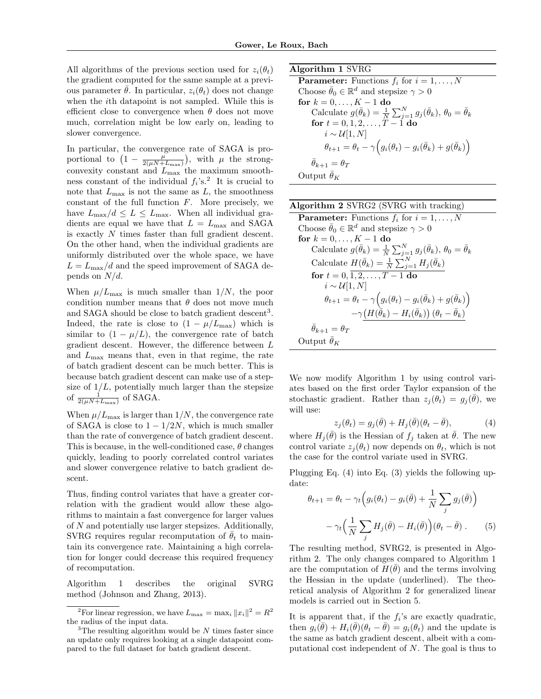All algorithms of the previous section used for  $z_i(\theta_t)$ the gradient computed for the same sample at a previous parameter  $\theta$ . In particular,  $z_i(\theta_t)$  does not change when the ith datapoint is not sampled. While this is efficient close to convergence when  $\theta$  does not move much, correlation might be low early on, leading to slower convergence.

In particular, the convergence rate of SAGA is proportional to  $\left(1-\frac{\mu}{2(\mu N+L_{\max})}\right)$ , with  $\mu$  the strongconvexity constant and  $L_{\text{max}}$  the maximum smoothness constant of the individual  $f_i$ 's.<sup>2</sup> It is crucial to note that  $L_{\text{max}}$  is not the same as  $L$ , the smoothness constant of the full function  $F$ . More precisely, we have  $L_{\text{max}}/d \leq L \leq L_{\text{max}}$ . When all individual gradients are equal we have that  $L = L_{\text{max}}$  and SAGA is exactly N times faster than full gradient descent. On the other hand, when the individual gradients are uniformly distributed over the whole space, we have  $L = L_{\text{max}}/d$  and the speed improvement of SAGA depends on  $N/d$ .

When  $\mu/L_{\text{max}}$  is much smaller than  $1/N$ , the poor condition number means that  $\theta$  does not move much and SAGA should be close to batch gradient descent<sup>3</sup>. Indeed, the rate is close to  $(1 - \mu/L_{\text{max}})$  which is similar to  $(1 - \mu/L)$ , the convergence rate of batch gradient descent. However, the difference between L and  $L_{\text{max}}$  means that, even in that regime, the rate of batch gradient descent can be much better. This is because batch gradient descent can make use of a stepsize of  $1/L$ , potentially much larger than the stepsize of  $\frac{1}{2(\mu N + L_{\text{max}})}$  of SAGA.

When  $\mu/L_{\text{max}}$  is larger than  $1/N$ , the convergence rate of SAGA is close to  $1 - 1/2N$ , which is much smaller than the rate of convergence of batch gradient descent. This is because, in the well-conditioned case,  $\theta$  changes quickly, leading to poorly correlated control variates and slower convergence relative to batch gradient descent.

Thus, finding control variates that have a greater correlation with the gradient would allow these algorithms to maintain a fast convergence for larger values of N and potentially use larger stepsizes. Additionally, SVRG requires regular recomputation of  $\theta_t$  to maintain its convergence rate. Maintaining a high correlation for longer could decrease this required frequency of recomputation.

Algorithm 1 describes the original SVRG method (Johnson and Zhang, 2013).

| Algorithm 1 SVRG                                                                                        |
|---------------------------------------------------------------------------------------------------------|
| <b>Parameter:</b> Functions $f_i$ for $i = 1, , N$                                                      |
| Choose $\bar{\theta}_0 \in \mathbb{R}^d$ and stepsize $\gamma > 0$                                      |
| for $k = 0, \ldots, K-1$ do                                                                             |
| Calculate $g(\bar{\theta}_k) = \frac{1}{N} \sum_{j=1}^N g_j(\bar{\theta}_k), \theta_0 = \bar{\theta}_k$ |
| for $t = 0, 1, 2, , T - 1$ do                                                                           |
| $i \sim \mathcal{U}[1,N]$                                                                               |
| $\theta_{t+1} = \theta_t - \gamma \Big( g_i(\theta_t) - g_i(\bar{\theta}_k) + g(\bar{\theta}_k) \Big)$  |
| $\theta_{k+1} = \theta_T$                                                                               |
| Output $\bar{\theta}_K$                                                                                 |

| Algorithm 2 SVRG2 (SVRG with tracking)                                                                    |
|-----------------------------------------------------------------------------------------------------------|
| <b>Parameter:</b> Functions $f_i$ for $i = 1, , N$                                                        |
| Choose $\bar{\theta}_0 \in \mathbb{R}^d$ and stepsize $\gamma > 0$                                        |
| for $k = 0, , K - 1$ do                                                                                   |
| Calculate $g(\bar{\theta}_k) = \frac{1}{N} \sum_{j=1}^{N} g_j(\bar{\theta}_k), \theta_0 = \bar{\theta}_k$ |
| Calculate $H(\bar{\theta}_k) = \frac{1}{N} \sum_{i=1}^N H_i(\bar{\theta}_k)$                              |
| for $t = 0, 1, 2, , T - 1$ do                                                                             |
| $i \sim \mathcal{U}[1,N]$                                                                                 |
| $\theta_{t+1} = \theta_t - \gamma \Big( g_i(\theta_t) - g_i(\bar{\theta}_k) + g(\bar{\theta}_k) \Big)$    |
| $-\gamma\big(H(\bar{\theta}_k)-H_i(\bar{\theta}_k)\big)\,(\theta_t-\bar{\theta}_k)$                       |
| $\theta_{k+1} = \theta_T$                                                                                 |
| Output $\bar{\theta}_K$                                                                                   |

We now modify Algorithm 1 by using control variates based on the first order Taylor expansion of the stochastic gradient. Rather than  $z_j(\theta_t) = g_j(\bar{\theta})$ , we will use:

$$
z_j(\theta_t) = g_j(\bar{\theta}) + H_j(\bar{\theta})(\theta_t - \bar{\theta}), \tag{4}
$$

where  $H_j(\bar{\theta})$  is the Hessian of  $f_j$  taken at  $\bar{\theta}$ . The new control variate  $z_i(\theta_t)$  now depends on  $\theta_t$ , which is not the case for the control variate used in SVRG.

Plugging Eq. (4) into Eq. (3) yields the following update:

$$
\theta_{t+1} = \theta_t - \gamma_t \Big( g_i(\theta_t) - g_i(\bar{\theta}) + \frac{1}{N} \sum_j g_j(\bar{\theta}) \Big) - \gamma_t \Big( \frac{1}{N} \sum_j H_j(\bar{\theta}) - H_i(\bar{\theta}) \Big) (\theta_t - \bar{\theta}). \tag{5}
$$

The resulting method, SVRG2, is presented in Algorithm 2. The only changes compared to Algorithm 1 are the computation of  $H(\bar{\theta})$  and the terms involving the Hessian in the update (underlined). The theoretical analysis of Algorithm 2 for generalized linear models is carried out in Section 5.

It is apparent that, if the  $f_i$ 's are exactly quadratic, then  $g_i(\bar{\theta}) + H_i(\bar{\theta}) (\theta_t - \bar{\theta}) = g_i(\theta_t)$  and the update is the same as batch gradient descent, albeit with a computational cost independent of N. The goal is thus to

<sup>&</sup>lt;sup>2</sup>For linear regression, we have  $L_{\text{max}} = \max_i ||x_i||^2 = R^2$ the radius of the input data.

 $3$ The resulting algorithm would be N times faster since an update only requires looking at a single datapoint compared to the full dataset for batch gradient descent.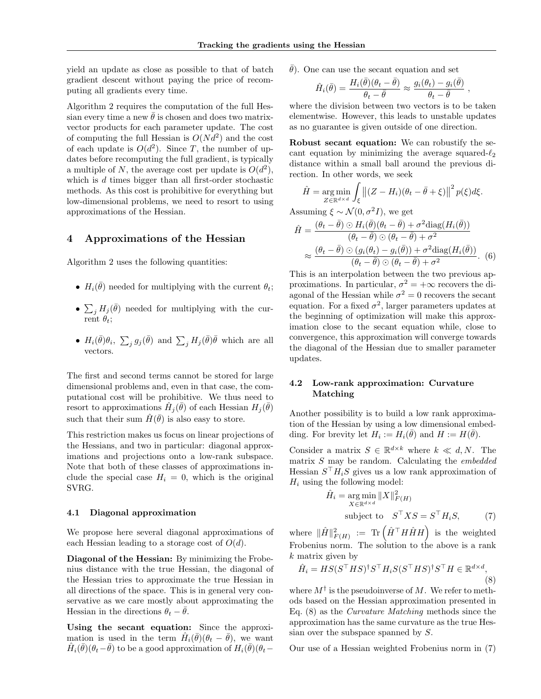yield an update as close as possible to that of batch gradient descent without paying the price of recomputing all gradients every time.

Algorithm 2 requires the computation of the full Hessian every time a new  $\bar{\theta}$  is chosen and does two matrixvector products for each parameter update. The cost of computing the full Hessian is  $O(N d^2)$  and the cost of each update is  $O(d^2)$ . Since T, the number of updates before recomputing the full gradient, is typically a multiple of N, the average cost per update is  $O(d^2)$ , which is d times bigger than all first-order stochastic methods. As this cost is prohibitive for everything but low-dimensional problems, we need to resort to using approximations of the Hessian.

# 4 Approximations of the Hessian

Algorithm 2 uses the following quantities:

- $H_i(\bar{\theta})$  needed for multiplying with the current  $\theta_t$ ;
- $\sum_j H_j(\bar{\theta})$  needed for multiplying with the current  $\theta_t$ ;
- $H_i(\bar{\theta})\theta_i$ ,  $\sum_j g_j(\bar{\theta})$  and  $\sum_j H_j(\bar{\theta})\bar{\theta}$  which are all vectors.

The first and second terms cannot be stored for large dimensional problems and, even in that case, the computational cost will be prohibitive. We thus need to resort to approximations  $\hat{H}_j(\bar{\theta})$  of each Hessian  $H_j(\bar{\theta})$ such that their sum  $\hat{H}(\bar{\theta})$  is also easy to store.

This restriction makes us focus on linear projections of the Hessians, and two in particular: diagonal approximations and projections onto a low-rank subspace. Note that both of these classes of approximations include the special case  $H_i = 0$ , which is the original SVRG.

#### 4.1 Diagonal approximation

We propose here several diagonal approximations of each Hessian leading to a storage cost of  $O(d)$ .

Diagonal of the Hessian: By minimizing the Frobenius distance with the true Hessian, the diagonal of the Hessian tries to approximate the true Hessian in all directions of the space. This is in general very conservative as we care mostly about approximating the Hessian in the directions  $\theta_t - \overline{\theta}$ .

Using the secant equation: Since the approximation is used in the term  $\hat{H}_i(\bar{\theta})(\theta_t - \bar{\theta})$ , we want  $\hat{H}_i(\bar{\theta})(\theta_t-\bar{\theta})$  to be a good approximation of  $H_i(\bar{\theta})(\theta_t-\bar{\theta})$   $\bar{\theta}$ ). One can use the secant equation and set

$$
\hat{H}_i(\bar{\theta}) = \frac{H_i(\bar{\theta})(\theta_t - \bar{\theta})}{\theta_t - \bar{\theta}} \approx \frac{g_i(\theta_t) - g_i(\bar{\theta})}{\theta_t - \bar{\theta}},
$$

where the division between two vectors is to be taken elementwise. However, this leads to unstable updates as no guarantee is given outside of one direction.

Robust secant equation: We can robustify the secant equation by minimizing the average squared- $\ell_2$ distance within a small ball around the previous direction. In other words, we seek

$$
\hat{H} = \underset{Z \in \mathbb{R}^{d \times d}}{\arg \min} \int_{\xi} \left\| (Z - H_i)(\theta_t - \bar{\theta} + \xi) \right\|^2 p(\xi) d\xi.
$$

Assuming  $\xi \sim \mathcal{N}(0, \sigma^2 I)$ , we get

$$
\hat{H} = \frac{(\theta_t - \bar{\theta}) \odot H_i(\bar{\theta})(\theta_t - \bar{\theta}) + \sigma^2 \text{diag}(H_i(\bar{\theta}))}{(\theta_t - \bar{\theta}) \odot (\theta_t - \bar{\theta}) + \sigma^2}
$$
\n
$$
\approx \frac{(\theta_t - \bar{\theta}) \odot (g_i(\theta_t) - g_i(\bar{\theta})) + \sigma^2 \text{diag}(H_i(\bar{\theta}))}{(\theta_t - \bar{\theta}) \odot (\theta_t - \bar{\theta}) + \sigma^2}.
$$
\n(6)

This is an interpolation between the two previous approximations. In particular,  $\sigma^2 = +\infty$  recovers the diagonal of the Hessian while  $\sigma^2 = 0$  recovers the secant equation. For a fixed  $\sigma^2$ , larger parameters updates at the beginning of optimization will make this approximation close to the secant equation while, close to convergence, this approximation will converge towards the diagonal of the Hessian due to smaller parameter updates.

## 4.2 Low-rank approximation: Curvature Matching

Another possibility is to build a low rank approximation of the Hessian by using a low dimensional embedding. For brevity let  $H_i := H_i(\bar{\theta})$  and  $H := H(\bar{\theta})$ .

Consider a matrix  $S \in \mathbb{R}^{d \times k}$  where  $k \ll d, N$ . The matrix  $S$  may be random. Calculating the *embedded* Hessian  $S<sup>T</sup>H<sub>i</sub>S$  gives us a low rank approximation of  $H_i$  using the following model:

$$
\hat{H}_i = \underset{X \in \mathbb{R}^{d \times d}}{\arg \min} \|X\|_{F(H)}^2
$$
  
subject to 
$$
S^{\top} X S = S^{\top} H_i S, \tag{7}
$$

where  $\|\hat{H}\|^2_{F(H)}$  := Tr  $(\hat{H}^\top H \hat{H} H)$  is the weighted Frobenius norm. The solution to the above is a rank k matrix given by

$$
\hat{H}_i = HS(S^\top HS)^\dagger S^\top H_i S(S^\top HS)^\dagger S^\top H \in \mathbb{R}^{d \times d},\tag{8}
$$

where  $M^{\dagger}$  is the pseudoinverse of M. We refer to methods based on the Hessian approximation presented in Eq. (8) as the Curvature Matching methods since the approximation has the same curvature as the true Hessian over the subspace spanned by S.

Our use of a Hessian weighted Frobenius norm in (7)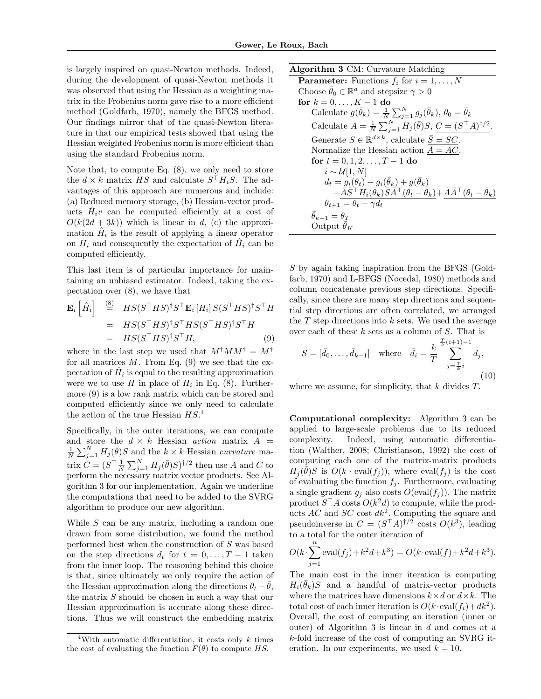is largely inspired on quasi-Newton methods. Indeed, during the development of quasi-Newton methods it was observed that using the Hessian as a weighting matrix in the Frobenius norm gave rise to a more efficient method (Goldfarb, 1970), namely the BFGS method. Our findings mirror that of the quasi-Newton literature in that our empirical tests showed that using the Hessian weighted Frobenius norm is more efficient than using the standard Frobenius norm.

Note that, to compute Eq.  $(8)$ , we only need to store the  $d \times k$  matrix HS and calculate  $S^{\top} H_i S$ . The advantages of this approach are numerous and include: (a) Reduced memory storage, (b) Hessian-vector products  $\hat{H}_i v$  can be computed efficiently at a cost of  $O(k(2d+3k))$  which is linear in d, (c) the approximation  $\hat{H}_i$  is the result of applying a linear operator on  $H_i$  and consequently the expectation of  $\hat{H}_i$  can be computed efficiently.

This last item is of particular importance for maintaining an unbiased estimator. Indeed, taking the expectation over (8), we have that

$$
\mathbf{E}_{i} \left[ \hat{H}_{i} \right] \stackrel{\text{(8)}}{=} H S (S^{\top} H S)^{\dagger} S^{\top} \mathbf{E}_{i} \left[ H_{i} \right] S (S^{\top} H S)^{\dagger} S^{\top} H \n= H S (S^{\top} H S)^{\dagger} S^{\top} H S (S^{\top} H S)^{\dagger} S^{\top} H \n= H S (S^{\top} H S)^{\dagger} S^{\top} H,
$$
\n(9)

where in the last step we used that  $M^{\dagger}MM^{\dagger} = M^{\dagger}$ for all matrices  $M$ . From Eq. (9) we see that the expectation of  $\hat{H}_i$  is equal to the resulting approximation were we to use H in place of  $H_i$  in Eq. (8). Furthermore (9) is a low rank matrix which can be stored and computed efficiently since we only need to calculate the action of the true Hessian  $HS.^4$ 

Specifically, in the outer iterations, we can compute and store the  $d \times k$  Hessian *action* matrix  $A =$  $\frac{1}{N} \sum_{j=1}^{N} H_j(\bar{\theta}) S$  and the  $k \times k$  Hessian curvature matrix  $C = (S^{\top} \frac{1}{N} \sum_{j=1}^{N} H_j(\bar{\theta}) S)^{\dagger/2}$  then use A and C to perform the necessary matrix vector products. See Algorithm 3 for our implementation. Again we underline the computations that need to be added to the SVRG algorithm to produce our new algorithm.

While  $S$  can be any matrix, including a random one drawn from some distribution, we found the method performed best when the construction of S was based on the step directions  $d_t$  for  $t = 0, \ldots, T-1$  taken from the inner loop. The reasoning behind this choice is that, since ultimately we only require the action of the Hessian approximation along the directions  $\theta_t - \bar{\theta}$ , the matrix  $S$  should be chosen in such a way that our Hessian approximation is accurate along these directions. Thus we will construct the embedding matrix

# Algorithm 3 CM: Curvature Matching

```
Parameter: Functions f_i for i = 1, ..., NChoose \bar{\theta}_0 \in \mathbb{R}^d and stepsize \gamma > 0for k = 0, \ldots, K - 1 do
Calculate g(\bar{\theta}_k) = \frac{1}{N} \sum_{j=1}^{N} g_j(\bar{\theta}_k), \theta_0 = \bar{\theta}_kCalculate A = \frac{1}{N} \sum_{j=1}^{N} H_j(\bar{\theta}) S, C = (S^{\top} A)^{\dagger/2}.Generate \overline{S} \in \mathbb{R}^{d \times k}, calculate \overline{S} = SC.
Normalize the Hessian action \overline{A} = AC.
for t = 0, 1, 2, \ldots, T - 1 do
      i \sim \mathcal{U}[1,N]d_t = g_t(\theta_t) - g_t(\bar{\theta}_k) + g(\bar{\theta}_k)-\tilde{\bar{A}}\bar{S}^\top H_i(\bar{\theta}_k)\bar{S}\widetilde{\bar{A}}^\top(\theta_t-\bar{\theta}_k)+\bar{A}\bar{A}^\top(\theta_t-\bar{\theta}_k)\theta_{t+1} = \theta_t - \gamma d_t\bar{\theta}_{k+1} = \theta_TOutput \bar{\theta}_K
```
S by again taking inspiration from the BFGS (Goldfarb, 1970) and L-BFGS (Nocedal, 1980) methods and column concatenate previous step directions. Specifically, since there are many step directions and sequential step directions are often correlated, we arranged the  $T$  step directions into  $k$  sets. We used the average over each of these  $k$  sets as a column of  $S$ . That is

$$
S = [\bar{d}_0, \dots, \bar{d}_{k-1}] \text{ where } \bar{d}_i = \frac{k}{T} \sum_{j=\frac{T}{k}i}^{\frac{T}{k}(i+1)-1} d_j,
$$
\n(10)

where we assume, for simplicity, that  $k$  divides  $T$ .

Computational complexity: Algorithm 3 can be applied to large-scale problems due to its reduced complexity. Indeed, using automatic differentiation (Walther, 2008; Christianson, 1992) the cost of computing each one of the matrix-matrix products  $H_j(\bar{\bar{\theta}})S$  is  $O(k \cdot \text{eval}(f_j))$ , where  $\text{eval}(f_j)$  is the cost of evaluating the function  $f_j$ . Furthermore, evaluating a single gradient  $g_j$  also costs  $O(\text{eval}(f_j))$ . The matrix product  $S^{\top}A$  costs  $O(k^2d)$  to compute, while the products  $AC$  and  $SC$  cost  $dk^2$ . Computing the square and pseudoinverse in  $C = (S^{\top}A)^{\dagger/2}$  costs  $O(k^3)$ , leading to a total for the outer iteration of

$$
O(k \cdot \sum_{j=1}^{n} \text{eval}(f_j) + k^2 d + k^3) = O(k \cdot \text{eval}(f) + k^2 d + k^3).
$$

The main cost in the inner iteration is computing  $H_i(\bar{\theta}_k)S$  and a handful of matrix-vector products where the matrices have dimensions  $k \times d$  or  $d \times k$ . The total cost of each inner iteration is  $O(k \cdot \text{eval}(f_i) + dk^2)$ . Overall, the cost of computing an iteration (inner or outer) of Algorithm 3 is linear in d and comes at a k-fold increase of the cost of computing an SVRG iteration. In our experiments, we used  $k = 10$ .

<sup>&</sup>lt;sup>4</sup>With automatic differentiation, it costs only  $k$  times the cost of evaluating the function  $F(\theta)$  to compute HS.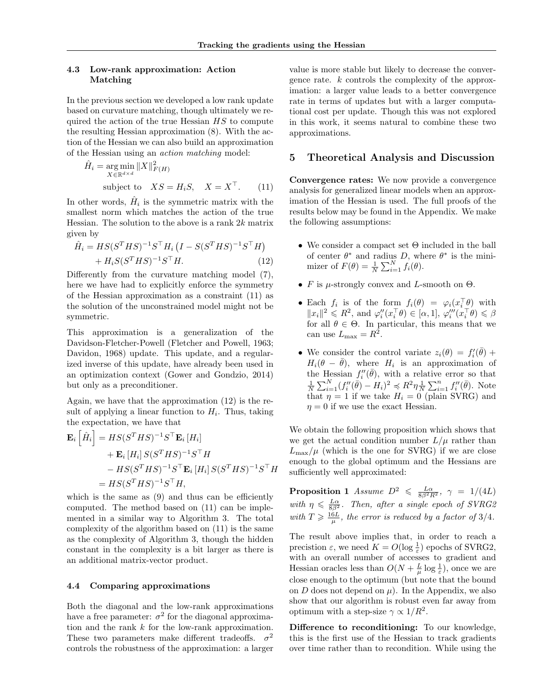#### 4.3 Low-rank approximation: Action Matching

In the previous section we developed a low rank update based on curvature matching, though ultimately we required the action of the true Hessian  $HS$  to compute the resulting Hessian approximation (8). With the action of the Hessian we can also build an approximation of the Hessian using an action matching model:

$$
\hat{H}_i = \underset{X \in \mathbb{R}^{d \times d}}{\arg \min} \|X\|_{F(H)}^2
$$
  
subject to 
$$
XS = H_iS, \quad X = X^{\top}.
$$
 (11)

In other words,  $\hat{H}_i$  is the symmetric matrix with the smallest norm which matches the action of the true Hessian. The solution to the above is a rank  $2k$  matrix given by

$$
\hat{H}_i = HS(S^THS)^{-1}S^{\top}H_i (I - S(S^THS)^{-1}S^{\top}H) + H_i S(S^THS)^{-1}S^{\top}H.
$$
\n(12)

Differently from the curvature matching model (7), here we have had to explicitly enforce the symmetry of the Hessian approximation as a constraint (11) as the solution of the unconstrained model might not be symmetric.

This approximation is a generalization of the Davidson-Fletcher-Powell (Fletcher and Powell, 1963; Davidon, 1968) update. This update, and a regularized inverse of this update, have already been used in an optimization context (Gower and Gondzio, 2014) but only as a preconditioner.

Again, we have that the approximation (12) is the result of applying a linear function to  $H_i$ . Thus, taking the expectation, we have that

$$
\mathbf{E}_{i}\left[\hat{H}_{i}\right] = HS(S^{T}HS)^{-1}S^{\top}\mathbf{E}_{i}\left[H_{i}\right]
$$
  
+ 
$$
\mathbf{E}_{i}\left[H_{i}\right]S(S^{T}HS)^{-1}S^{\top}H
$$
  
- 
$$
HS(S^{T}HS)^{-1}S^{\top}\mathbf{E}_{i}\left[H_{i}\right]S(S^{T}HS)^{-1}S^{\top}H
$$
  
= 
$$
HS(S^{T}HS)^{-1}S^{\top}H,
$$

which is the same as (9) and thus can be efficiently computed. The method based on (11) can be implemented in a similar way to Algorithm 3. The total complexity of the algorithm based on (11) is the same as the complexity of Algorithm 3, though the hidden constant in the complexity is a bit larger as there is an additional matrix-vector product.

#### 4.4 Comparing approximations

Both the diagonal and the low-rank approximations have a free parameter:  $\sigma^2$  for the diagonal approximation and the rank k for the low-rank approximation. These two parameters make different tradeoffs.  $\sigma^2$ controls the robustness of the approximation: a larger value is more stable but likely to decrease the convergence rate. k controls the complexity of the approximation: a larger value leads to a better convergence rate in terms of updates but with a larger computational cost per update. Though this was not explored in this work, it seems natural to combine these two approximations.

#### 5 Theoretical Analysis and Discussion

Convergence rates: We now provide a convergence analysis for generalized linear models when an approximation of the Hessian is used. The full proofs of the results below may be found in the Appendix. We make the following assumptions:

- We consider a compact set Θ included in the ball of center  $\theta^*$  and radius D, where  $\theta^*$  is the minimizer of  $F(\theta) = \frac{1}{N} \sum_{i=1}^{N} f_i(\theta)$ .
- F is  $\mu$ -strongly convex and L-smooth on  $\Theta$ .
- Each  $f_i$  is of the form  $f_i(\theta) = \varphi_i(x_i^{\top} \theta)$  with  $||x_i||^2 \le R^2$ , and  $\varphi_i''(x_i^\top \theta) \in [\alpha, 1], \varphi_i'''(x_i^\top \theta) \le \beta$ for all  $\theta \in \Theta$ . In particular, this means that we can use  $L_{\text{max}} = R^2$ .
- We consider the control variate  $z_i(\theta) = f'_i(\bar{\theta}) +$  $H_i(\theta - \bar{\theta})$ , where  $H_i$  is an approximation of the Hessian  $f_i''(\bar{\theta})$ , with a relative error so that  $\frac{1}{N} \sum_{i=1}^{N} (f''_i(\bar{\theta}) - H_i)^2 \preccurlyeq R^2 \eta \frac{1}{N} \sum_{i=1}^{n} f''_i(\bar{\theta})$ . Note that  $\eta = 1$  if we take  $H_i = 0$  (plain SVRG) and  $\eta = 0$  if we use the exact Hessian.

We obtain the following proposition which shows that we get the actual condition number  $L/\mu$  rather than  $L_{\text{max}}/\mu$  (which is the one for SVRG) if we are close enough to the global optimum and the Hessians are sufficiently well approximated:

**Proposition 1** Assume  $D^2 \leq \frac{L\alpha}{8\beta^2 R^2}$ ,  $\gamma = 1/(4L)$ with  $\eta \leq \frac{L\alpha}{8\beta^2}$ . Then, after a single epoch of SVRG2 with  $T \geqslant \frac{16L}{\mu}$ , the error is reduced by a factor of 3/4.

The result above implies that, in order to reach a precistion  $\varepsilon$ , we need  $K = O(\log \frac{1}{\varepsilon})$  epochs of SVRG2, with an overall number of accesses to gradient and Hessian oracles less than  $O(N + \frac{L}{\mu} \log \frac{1}{\varepsilon})$ , once we are close enough to the optimum (but note that the bound on  $D$  does not depend on  $\mu$ ). In the Appendix, we also show that our algorithm is robust even far away from optimum with a step-size  $\gamma \propto 1/R^2$ .

Difference to reconditioning: To our knowledge, this is the first use of the Hessian to track gradients over time rather than to recondition. While using the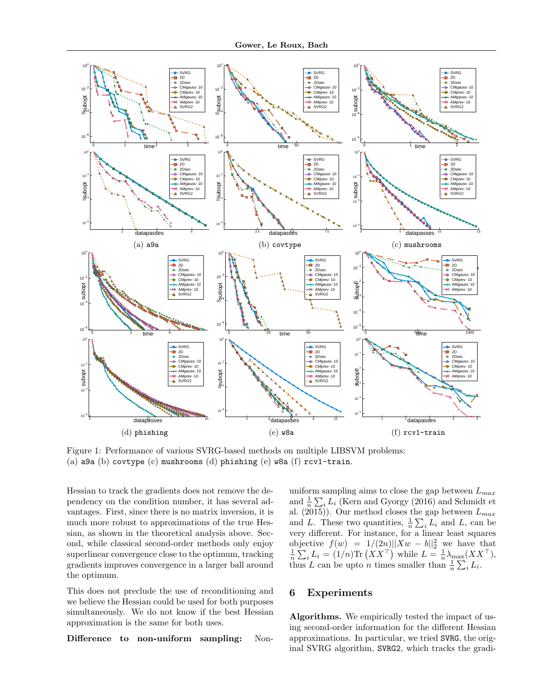

Figure 1: Performance of various SVRG-based methods on multiple LIBSVM problems: (a) a9a (b) covtype  $(c)$  mushrooms  $(d)$  phishing  $(e)$  w8a  $(f)$  rcv1-train.

Hessian to track the gradients does not remove the dependency on the condition number, it has several advantages. First, since there is no matrix inversion, it is much more robust to approximations of the true Hessian, as shown in the theoretical analysis above. Second, while classical second-order methods only enjoy superlinear convergence close to the optimum, tracking gradients improves convergence in a larger ball around the optimum.

This does not preclude the use of reconditioning and we believe the Hessian could be used for both purposes simultaneously. We do not know if the best Hessian approximation is the same for both uses.

Difference to non-uniform sampling: Non-

uniform sampling aims to close the gap between  $L_{max}$ and  $\frac{1}{n} \sum_{i} L_i$  (Kern and Gyorgy (2016) and Schmidt et al. (2015)). Our method closes the gap between  $L_{max}$ and L. These two quantities,  $\frac{1}{n} \sum_i L_i$  and L, can be very different. For instance, for a linear least squares objective  $f(w) = 1/(2n) ||Xw - b||_2^2$  we have that  $\frac{1}{n} \sum_i L_i = (1/n) \text{Tr} (XX^\top)$  while  $L = \frac{1}{n} \lambda_{\text{max}} (XX^\top)$ , thus L can be upto *n* times smaller than  $\frac{1}{n} \sum_{i} L_i$ .

# 6 Experiments

Algorithms. We empirically tested the impact of using second-order information for the different Hessian approximations. In particular, we tried SVRG, the original SVRG algorithm, SVRG2, which tracks the gradi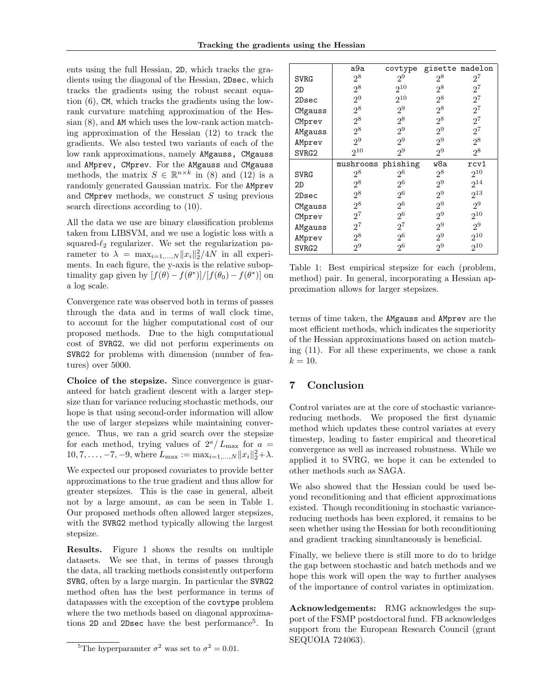ents using the full Hessian, 2D, which tracks the gradients using the diagonal of the Hessian, 2Dsec, which tracks the gradients using the robust secant equation (6), CM, which tracks the gradients using the lowrank curvature matching approximation of the Hessian (8), and AM which uses the low-rank action matching approximation of the Hessian (12) to track the gradients. We also tested two variants of each of the low rank approximations, namely AMgauss, CMgauss and AMprev, CMprev. For the AMgauss and CMgauss methods, the matrix  $S \in \mathbb{R}^{n \times k}$  in (8) and (12) is a randomly generated Gaussian matrix. For the AMprev and CMprev methods, we construct  $S$  using previous search directions according to (10).

All the data we use are binary classification problems taken from LIBSVM, and we use a logistic loss with a squared- $\ell_2$  regularizer. We set the regularization parameter to  $\lambda = \max_{i=1,\dots,N} ||x_i||_2^2 / 4N$  in all experiments. In each figure, the y-axis is the relative suboptimality gap given by  $[f(\theta) - f(\theta^*)]/[f(\theta_0) - f(\theta^*)]$  on a log scale.

Convergence rate was observed both in terms of passes through the data and in terms of wall clock time, to account for the higher computational cost of our proposed methods. Due to the high computational cost of SVRG2, we did not perform experiments on SVRG2 for problems with dimension (number of features) over 5000.

Choice of the stepsize. Since convergence is guaranteed for batch gradient descent with a larger stepsize than for variance reducing stochastic methods, our hope is that using second-order information will allow the use of larger stepsizes while maintaining convergence. Thus, we ran a grid search over the stepsize for each method, trying values of  $2^a/L_{\text{max}}$  for  $a =$  $10, 7, \ldots, -7, -9$ , where  $L_{\text{max}} := \max_{i=1,\ldots,N} ||x_i||_2^2 + \lambda$ .

We expected our proposed covariates to provide better approximations to the true gradient and thus allow for greater stepsizes. This is the case in general, albeit not by a large amount, as can be seen in Table 1. Our proposed methods often allowed larger stepsizes, with the SVRG2 method typically allowing the largest stepsize.

Results. Figure 1 shows the results on multiple datasets. We see that, in terms of passes through the data, all tracking methods consistently outperform SVRG, often by a large margin. In particular the SVRG2 method often has the best performance in terms of datapasses with the exception of the covtype problem where the two methods based on diagonal approximations 2D and 2Dsec have the best performance<sup>5</sup>. In

|                   | a9a                | covtype                          | gisette madelon |                |
|-------------------|--------------------|----------------------------------|-----------------|----------------|
| <b>SVRG</b>       | 2 <sup>8</sup>     | 2 <sup>9</sup>                   | 28              | 27             |
| 2D                | $2^8$              | $2^{10}$                         | $2^8$           | $2^7$          |
| 2Dsec             | 2 <sup>9</sup>     | $2^{10}$                         | $2^8$           | $2^7$          |
| CMgauss           | $2^8$              | 2 <sup>9</sup>                   | $2^8$           | $2^7$          |
| CMprev            | $2^8$              | $2^8$                            | $2^8$           | $2^7$          |
| AMgauss           | $2^8$              | 2 <sup>9</sup>                   | 2 <sup>9</sup>  | $2^7$          |
| AMprev            | $2^9$              | 2 <sup>9</sup>                   | $2^9$           | $2^8$          |
| SVRG2             | $2^{10}$           | 2 <sup>9</sup>                   | 29              | 28             |
|                   |                    |                                  |                 |                |
|                   | mushrooms phishing |                                  | w8a             | rcv1           |
| SVRG              | $2^8$              | 2 <sup>6</sup>                   | $2^8$           | $2^{10}$       |
| 2D                | $2^8$              | $2^6$                            | 2 <sup>9</sup>  | $2^{14}$       |
| 2Dsec             | $2^8$              | 2 <sup>6</sup>                   | 2 <sup>9</sup>  | $2^{13}$       |
| CMgauss           | $2^8$              | 2 <sup>6</sup>                   | 2 <sup>9</sup>  | 2 <sup>9</sup> |
|                   | $2^7$              | 2 <sup>6</sup>                   | $2^9$           | $2^{10}$       |
| CMprev            | $2^7$              | $2^7$                            | $2^9$           | 2 <sup>9</sup> |
| AMgauss<br>AMprev | $2^8$              | 2 <sup>6</sup><br>2 <sup>6</sup> | $2^9$           | $2^{10}$       |

Table 1: Best empirical stepsize for each (problem, method) pair. In general, incorporating a Hessian approximation allows for larger stepsizes.

terms of time taken, the AMgauss and AMprev are the most efficient methods, which indicates the superiority of the Hessian approximations based on action matching (11). For all these experiments, we chose a rank  $k = 10$ .

# 7 Conclusion

Control variates are at the core of stochastic variancereducing methods. We proposed the first dynamic method which updates these control variates at every timestep, leading to faster empirical and theoretical convergence as well as increased robustness. While we applied it to SVRG, we hope it can be extended to other methods such as SAGA.

We also showed that the Hessian could be used beyond reconditioning and that efficient approximations existed. Though reconditioning in stochastic variancereducing methods has been explored, it remains to be seen whether using the Hessian for both reconditioning and gradient tracking simultaneously is beneficial.

Finally, we believe there is still more to do to bridge the gap between stochastic and batch methods and we hope this work will open the way to further analyses of the importance of control variates in optimization.

Acknowledgements: RMG acknowledges the support of the FSMP postdoctoral fund. FB acknowledges support from the European Research Council (grant SEQUOIA 724063).

<sup>&</sup>lt;sup>5</sup>The hyperparamter  $\sigma^2$  was set to  $\sigma^2 = 0.01$ .